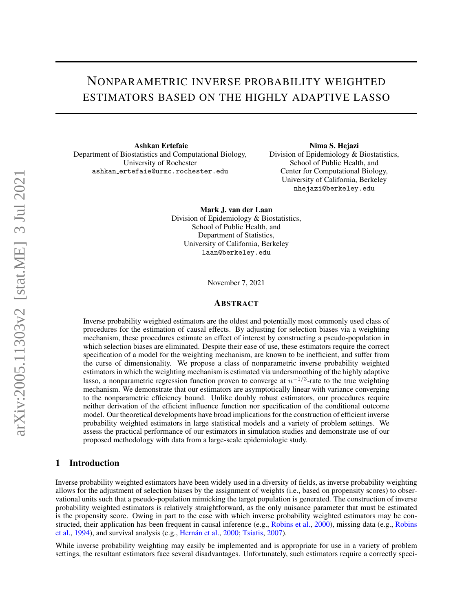# NONPARAMETRIC INVERSE PROBABILITY WEIGHTED ESTIMATORS BASED ON THE HIGHLY ADAPTIVE LASSO

Ashkan Ertefaie Department of Biostatistics and Computational Biology, University of Rochester ashkan ertefaie@urmc.rochester.edu

Nima S. Hejazi Division of Epidemiology & Biostatistics, School of Public Health, and Center for Computational Biology, University of California, Berkeley nhejazi@berkeley.edu

Mark J. van der Laan Division of Epidemiology & Biostatistics, School of Public Health, and Department of Statistics, University of California, Berkeley laan@berkeley.edu

November 7, 2021

#### ABSTRACT

Inverse probability weighted estimators are the oldest and potentially most commonly used class of procedures for the estimation of causal effects. By adjusting for selection biases via a weighting mechanism, these procedures estimate an effect of interest by constructing a pseudo-population in which selection biases are eliminated. Despite their ease of use, these estimators require the correct specification of a model for the weighting mechanism, are known to be inefficient, and suffer from the curse of dimensionality. We propose a class of nonparametric inverse probability weighted estimators in which the weighting mechanism is estimated via undersmoothing of the highly adaptive lasso, a nonparametric regression function proven to converge at  $n^{-1/3}$ -rate to the true weighting mechanism. We demonstrate that our estimators are asymptotically linear with variance converging to the nonparametric efficiency bound. Unlike doubly robust estimators, our procedures require neither derivation of the efficient influence function nor specification of the conditional outcome model. Our theoretical developments have broad implications for the construction of efficient inverse probability weighted estimators in large statistical models and a variety of problem settings. We assess the practical performance of our estimators in simulation studies and demonstrate use of our proposed methodology with data from a large-scale epidemiologic study.

# 1 Introduction

Inverse probability weighted estimators have been widely used in a diversity of fields, as inverse probability weighting allows for the adjustment of selection biases by the assignment of weights (i.e., based on propensity scores) to observational units such that a pseudo-population mimicking the target population is generated. The construction of inverse probability weighted estimators is relatively straightforward, as the only nuisance parameter that must be estimated is the propensity score. Owing in part to the ease with which inverse probability weighted estimators may be constructed, their application has been frequent in causal inference (e.g., Robins et al., 2000), missing data (e.g., Robins et al., 1994), and survival analysis (e.g., Hernán et al., 2000; Tsiatis, 2007).

While inverse probability weighting may easily be implemented and is appropriate for use in a variety of problem settings, the resultant estimators face several disadvantages. Unfortunately, such estimators require a correctly speci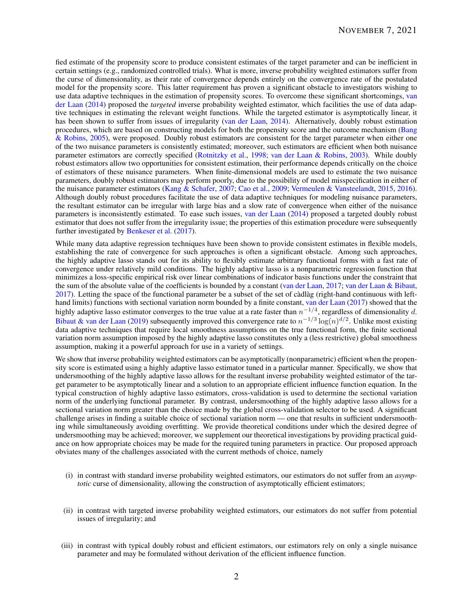fied estimate of the propensity score to produce consistent estimates of the target parameter and can be inefficient in certain settings (e.g., randomized controlled trials). What is more, inverse probability weighted estimators suffer from the curse of dimensionality, as their rate of convergence depends entirely on the convergence rate of the postulated model for the propensity score. This latter requirement has proven a significant obstacle to investigators wishing to use data adaptive techniques in the estimation of propensity scores. To overcome these significant shortcomings, van der Laan (2014) proposed the *targeted* inverse probability weighted estimator, which facilities the use of data adaptive techniques in estimating the relevant weight functions. While the targeted estimator is asymptotically linear, it has been shown to suffer from issues of irregularity (van der Laan, 2014). Alternatively, doubly robust estimation procedures, which are based on constructing models for both the propensity score and the outcome mechanism (Bang & Robins, 2005), were proposed. Doubly robust estimators are consistent for the target parameter when either one of the two nuisance parameters is consistently estimated; moreover, such estimators are efficient when both nuisance parameter estimators are correctly specified (Rotnitzky et al., 1998; van der Laan & Robins, 2003). While doubly robust estimators allow two opportunities for consistent estimation, their performance depends critically on the choice of estimators of these nuisance parameters. When finite-dimensional models are used to estimate the two nuisance parameters, doubly robust estimators may perform poorly, due to the possibility of model misspecification in either of the nuisance parameter estimators (Kang & Schafer, 2007; Cao et al., 2009; Vermeulen & Vansteelandt, 2015, 2016). Although doubly robust procedures facilitate the use of data adaptive techniques for modeling nuisance parameters, the resultant estimator can be irregular with large bias and a slow rate of convergence when either of the nuisance parameters is inconsistently estimated. To ease such issues, van der Laan (2014) proposed a targeted doubly robust estimator that does not suffer from the irregularity issue; the properties of this estimation procedure were subsequently further investigated by Benkeser et al. (2017).

While many data adaptive regression techniques have been shown to provide consistent estimates in flexible models, establishing the rate of convergence for such approaches is often a significant obstacle. Among such approaches, the highly adaptive lasso stands out for its ability to flexibly estimate arbitrary functional forms with a fast rate of convergence under relatively mild conditions. The highly adaptive lasso is a nonparametric regression function that minimizes a loss-specific empirical risk over linear combinations of indicator basis functions under the constraint that the sum of the absolute value of the coefficients is bounded by a constant (van der Laan, 2017; van der Laan & Bibaut,  $2017$ ). Letting the space of the functional parameter be a subset of the set of càdlàg (right-hand continuous with lefthand limits) functions with sectional variation norm bounded by a finite constant, van der Laan (2017) showed that the highly adaptive lasso estimator converges to the true value at a rate faster than  $n^{-1/4}$ , regardless of dimensionality *d*. Bibaut & van der Laan (2019) subsequently improved this convergence rate to  $n^{-1/3} \log(n)^{d/2}$ . Unlike most existing data adaptive techniques that require local smoothness assumptions on the true functional form, the finite sectional variation norm assumption imposed by the highly adaptive lasso constitutes only a (less restrictive) global smoothness assumption, making it a powerful approach for use in a variety of settings.

We show that inverse probability weighted estimators can be asymptotically (nonparametric) efficient when the propensity score is estimated using a highly adaptive lasso estimator tuned in a particular manner. Specifically, we show that undersmoothing of the highly adaptive lasso allows for the resultant inverse probability weighted estimator of the target parameter to be asymptotically linear and a solution to an appropriate efficient influence function equation. In the typical construction of highly adaptive lasso estimators, cross-validation is used to determine the sectional variation norm of the underlying functional parameter. By contrast, undersmoothing of the highly adaptive lasso allows for a sectional variation norm greater than the choice made by the global cross-validation selector to be used. A significant challenge arises in finding a suitable choice of sectional variation norm — one that results in sufficient undersmoothing while simultaneously avoiding overfitting. We provide theoretical conditions under which the desired degree of undersmoothing may be achieved; moreover, we supplement our theoretical investigations by providing practical guidance on how appropriate choices may be made for the required tuning parameters in practice. Our proposed approach obviates many of the challenges associated with the current methods of choice, namely

- (i) in contrast with standard inverse probability weighted estimators, our estimators do not suffer from an *asymptotic* curse of dimensionality, allowing the construction of asymptotically efficient estimators;
- (ii) in contrast with targeted inverse probability weighted estimators, our estimators do not suffer from potential issues of irregularity; and
- (iii) in contrast with typical doubly robust and efficient estimators, our estimators rely on only a single nuisance parameter and may be formulated without derivation of the efficient influence function.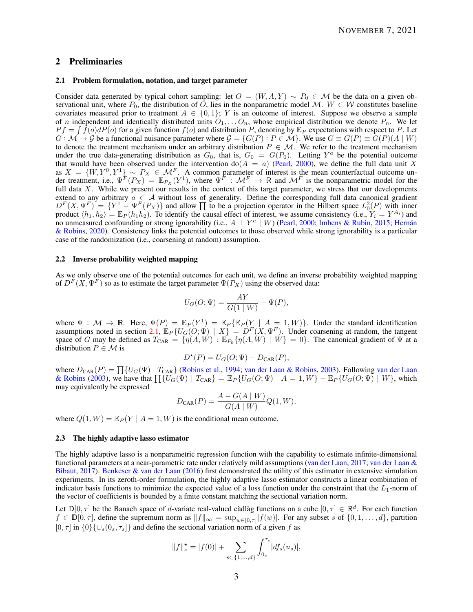# 2 Preliminaries

## 2.1 Problem formulation, notation, and target parameter

Consider data generated by typical cohort sampling: let  $O = (W, A, Y) \sim P_0 \in \mathcal{M}$  be the data on a given observational unit, where  $P_0$ , the distribution of *O*, lies in the nonparametric model M.  $W \in \mathcal{W}$  constitutes baseline covariates measured prior to treatment  $A \in \{0,1\}$ ; *Y* is an outcome of interest. Suppose we observe a sample of *n* independent and identically distributed units  $O_1, \ldots O_n$ , whose empirical distribution we denote  $P_n$ . We let  $Pf = \int \hat{f}(o) dP(o)$  for a given function  $f(o)$  and distribution *P*, denoting by  $\mathbb{E}_P$  expectations with respect to *P*. Let  $G : \mathcal{M} \to \mathcal{G}$  be a functional nuisance parameter where  $\mathcal{G} = \{G(P) : P \in \mathcal{M}\}\)$ . We use  $G \equiv G(P) \equiv G(P)(A | W)$ to denote the treatment mechanism under an arbitrary distribution  $P \in \mathcal{M}$ . We refer to the treatment mechanism under the true data-generating distribution as  $G_0$ , that is,  $G_0 = G(P_0)$ . Letting  $Y^a$  be the potential outcome that would have been observed under the intervention  $do(A = a)$  (Pearl, 2000), we define the full data unit X as  $X = \{W, Y^0, Y^1\} \sim P_X \in \mathcal{M}^F$ . A common parameter of interest is the mean counterfactual outcome under treatment, i.e.,  $\Psi^F(P_X) = \mathbb{E}_{P_X}(Y^1)$ , where  $\Psi^F : \mathcal{M}^F \to \mathbb{R}$  and  $\mathcal{M}^F$  is the nonparametric model for the full data  $X$ . While we present our results in the context of this target parameter, we stress that our developments extend to any arbitrary  $a \in A$  without loss of generality. Define the corresponding full data canonical gradient  $D^F(X, \Psi^F) = \{Y^1 - \Psi^F(P_X)\}$  and allow  $\Pi$  to be a projection operator in the Hilbert space  $L_0^2(P)$  with inner product  $\langle h_1, h_2 \rangle = \mathbb{E}_P(h_1 h_2)$ . To identify the causal effect of interest, we assume consistency (i.e.,  $Y_i = Y^{A_i}$ ) and no unmeasured confounding or strong ignorability (i.e.,  $A \perp Y^a \mid W$ ) (Pearl, 2000; Imbens & Rubin, 2015; Hernán & Robins, 2020). Consistency links the potential outcomes to those observed while strong ignorability is a particular case of the randomization (i.e., coarsening at random) assumption.

## 2.2 Inverse probability weighted mapping

As we only observe one of the potential outcomes for each unit, we define an inverse probability weighted mapping of  $D^F(X, \Psi^F)$  so as to estimate the target parameter  $\Psi(P_X)$  using the observed data:

$$
U_G(O; \Psi) = \frac{AY}{G(1 \mid W)} - \Psi(P),
$$

where  $\Psi : \mathcal{M} \to \mathbb{R}$ . Here,  $\Psi(P) = \mathbb{E}_P(Y^1) = \mathbb{E}_P\{\mathbb{E}_P(Y \mid A = 1, W)\}\$ . Under the standard identification assumptions noted in section 2.1,  $\mathbb{E}_P\{U_G(O; \Psi) \mid X\} = D^F(X, \Psi^F)$ . Under coarsening at random, the tangent space of *G* may be defined as  $T_{\text{CAR}} = \{\eta(A, W) : \mathbb{E}_{P_0} \{\eta(A, W) \mid W\} = 0\}$ . The canonical gradient of  $\Psi$  at a distribution  $P \in \mathcal{M}$  is

$$
D^*(P) = U_G(O; \Psi) - D_{\text{CAR}}(P),
$$

where  $D_{\text{CAR}}(P) = \prod_{i} \{ U_G(\Psi) | T_{\text{CAR}} \}$  (Robins et al., 1994; van der Laan & Robins, 2003). Following van der Laan  $\mathbb{R}^n$ & Robins (2003), we have that  $\prod \{U_G(\Psi) \mid T_{CAR}\} = \mathbb{E}_P \{U_G(O; \Psi) \mid A = 1, W\} - \mathbb{E}_P \{U_G(O; \Psi) \mid W\}$ , which may equivalently be expressed

$$
D_{\text{CAR}}(P) = \frac{A - G(A \mid W)}{G(A \mid W)} Q(1, W),
$$

where  $Q(1, W) = \mathbb{E}_P(Y \mid A = 1, W)$  is the conditional mean outcome.

#### 2.3 The highly adaptive lasso estimator

The highly adaptive lasso is a nonparametric regression function with the capability to estimate infinite-dimensional functional parameters at a near-parametric rate under relatively mild assumptions (van der Laan, 2017; van der Laan & Bibaut, 2017). Benkeser & van der Laan (2016) first demonstrated the utility of this estimator in extensive simulation experiments. In its zeroth-order formulation, the highly adaptive lasso estimator constructs a linear combination of indicator basis functions to minimize the expected value of a loss function under the constraint that the  $L_1$ -norm of the vector of coefficients is bounded by a finite constant matching the sectional variation norm.

Let  $\mathbb{D}[0, \tau]$  be the Banach space of *d*-variate real-valued càdlàg functions on a cube  $[0, \tau] \in \mathbb{R}^d$ . For each function *f* ∈  $\mathbb{D}[0, \tau]$ , define the supremum norm as  $||f||_{\infty} = \sup_{w \in [0, \tau]} |f(w)|$ . For any subset *s* of  $\{0, 1, ..., d\}$ , partition  $[0, \tau]$  in  $\{0\}$ { $\cup_s$  $(0_s, \tau_s]$ } and define the sectional variation norm of a given *f* as

$$
||f||_{\nu}^* = |f(0)| + \sum_{s \subset \{1, ..., d\}} \int_{0_s}^{\tau_s} |df_s(u_s)|,
$$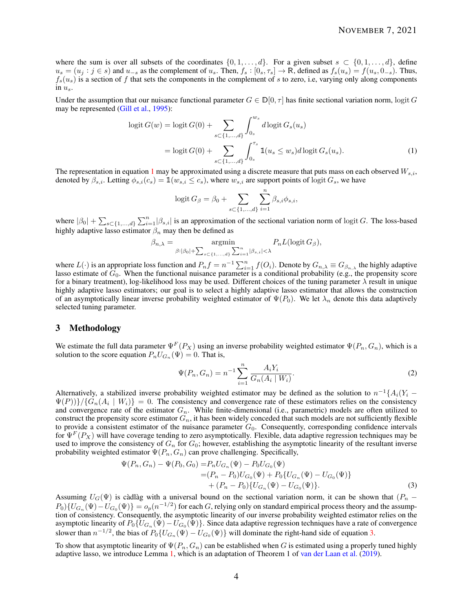where the sum is over all subsets of the coordinates  $\{0, 1, \ldots, d\}$ . For a given subset  $s \subset \{0, 1, \ldots, d\}$ , define  $u_s = (u_j : j \in s)$  and  $u_{-s}$  as the complement of  $u_s$ . Then,  $f_s : [0_s, \tau_s] \to \mathbb{R}$ , defined as  $f_s(u_s) = f(u_s, 0_s)$ . Thus,  $f_s(u_s)$  is a section of f that sets the components in the complement of *s* to zero, i.e, varying only along components in *us*.

Under the assumption that our nuisance functional parameter  $G \in \mathbb{D}[0, \tau]$  has finite sectional variation norm, logit *G* may be represented (Gill et al., 1995):

$$
logit G(w) = logit G(0) + \sum_{s \subset \{1, ..., d\}} \int_{0_s}^{w_s} d\logit G_s(u_s)
$$
  
= logit G(0) +  $\sum_{s \subset \{1, ..., d\}} \int_{0_s}^{\tau_s} 1(u_s \le w_s) d\logit G_s(u_s).$  (1)

The representation in equation 1 may be approximated using a discrete measure that puts mass on each observed *Ws,i*, denoted by  $\beta_{s,i}$ . Letting  $\phi_{s,i}(c_s) = \mathbb{1}(w_{s,i} \leq c_s)$ , where  $w_{s,i}$  are support points of logit  $G_s$ , we have

$$
logit\,G_{\beta} = \beta_0 + \sum_{s \subset \{1, ..., d\}} \sum_{i=1}^{n} \beta_{s,i} \phi_{s,i},
$$

where  $|\beta_0| + \sum_{s \subset \{1,\dots,d\}} \sum_{i=1}^n |\beta_{s,i}|$  is an approximation of the sectional variation norm of logit *G*. The loss-based highly adaptive lasso estimator *β<sup>n</sup>* may then be defined as

$$
\beta_{n,\lambda} = \underset{\beta: |\beta_0| + \sum_{s \subset \{1, ..., d\}} \sum_{i=1}^n |\beta_{s,i}| < \lambda}{P_n L(\text{logit } G_\beta)},
$$

where  $L(\cdot)$  is an appropriate loss function and  $P_n f = n^{-1} \sum_{i=1}^n f(O_i)$ . Denote by  $G_{n,\lambda} \equiv G_{\beta_{n,\lambda}}$  the highly adaptive lasso estimate of  $G_0$ . When the functional nuisance parameter is a conditional probability (e.g., the propensity score for a binary treatment), log-likelihood loss may be used. Different choices of the tuning parameter *λ* result in unique highly adaptive lasso estimators; our goal is to select a highly adaptive lasso estimator that allows the construction of an asymptotically linear inverse probability weighted estimator of  $\Psi(P_0)$ . We let  $\lambda_n$  denote this data adaptively selected tuning parameter.

# 3 Methodology

We estimate the full data parameter  $\Psi^F(P_X)$  using an inverse probability weighted estimator  $\Psi(P_n, G_n)$ , which is a solution to the score equation  $P_n U_{G_n}(\Psi) = 0$ . That is,

$$
\Psi(P_n, G_n) = n^{-1} \sum_{i=1}^n \frac{A_i Y_i}{G_n(A_i \mid W_i)}.
$$
\n(2)

Alternatively, a stabilized inverse probability weighted estimator may be defined as the solution to  $n^{-1}\{A_i(Y_i - K_i(Y_i))\}$  $\Psi(P)$ }/ $\{G_n(A_i \mid W_i)\} = 0$ . The consistency and convergence rate of these estimators relies on the consistency and convergence rate of the estimator *Gn*. While finite-dimensional (i.e., parametric) models are often utilized to construct the propensity score estimator  $G_n$ , it has been widely conceded that such models are not sufficiently flexible to provide a consistent estimator of the nuisance parameter *G*0. Consequently, corresponding confidence intervals for  $\Psi^F(P_X)$  will have coverage tending to zero asymptotically. Flexible, data adaptive regression techniques may be used to improve the consistency of  $G_n$  for  $G_0$ ; however, establishing the asymptotic linearity of the resultant inverse probability weighted estimator Ψ(*Pn, Gn*) can prove challenging. Specifically,

$$
\Psi(P_n, G_n) - \Psi(P_0, G_0) = P_n U_{G_n}(\Psi) - P_0 U_{G_0}(\Psi)
$$
  
=  $(P_n - P_0) U_{G_0}(\Psi) + P_0 \{ U_{G_n}(\Psi) - U_{G_0}(\Psi) \}$   
+  $(P_n - P_0) \{ U_{G_n}(\Psi) - U_{G_0}(\Psi) \}.$  (3)

Assuming  $U_G(\Psi)$  is càdlàg with a universal bound on the sectional variation norm, it can be shown that  $(P_n P_0$  { $U_{G_n}(\Psi) - U_{G_0}(\Psi)$ } =  $o_p(n^{-1/2})$  for each *G*, relying only on standard empirical process theory and the assumption of consistency. Consequently, the asymptotic linearity of our inverse probability weighted estimator relies on the asymptotic linearity of  $P_0\{U_{G_n}(\Psi) - U_{G_0}(\Psi)\}\$ . Since data adaptive regression techniques have a rate of convergence slower than  $n^{-1/2}$ , the bias of  $P_0\{U_{G_n}(\Psi) - U_{G_0}(\Psi)\}\$  will dominate the right-hand side of equation 3.

To show that asymptotic linearity of  $\Psi(P_n, G_n)$  can be established when *G* is estimated using a properly tuned highly adaptive lasso, we introduce Lemma 1, which is an adaptation of Theorem 1 of van der Laan et al. (2019).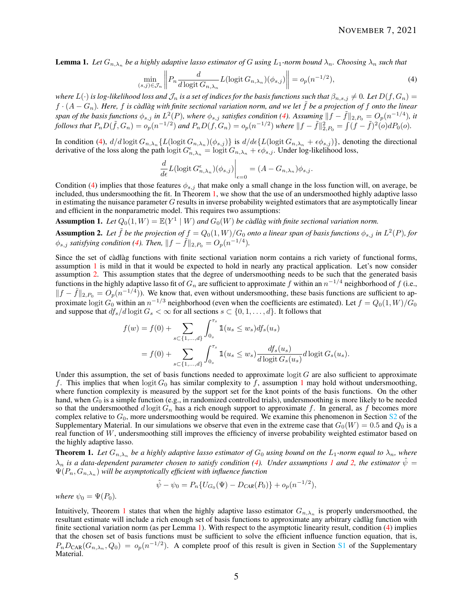**Lemma 1.** Let  $G_{n,\lambda_n}$  be a highly adaptive lasso estimator of G using  $L_1$ -norm bound  $\lambda_n$ . Choosing  $\lambda_n$  such that

$$
\min_{(s,j)\in\mathcal{J}_n} \left\| P_n \frac{d}{d\log t} \frac{d}{G_{n,\lambda_n}} L(\text{logit } G_{n,\lambda_n})(\phi_{s,j}) \right\| = o_p(n^{-1/2}),\tag{4}
$$

*where*  $L(\cdot)$  *is log-likelihood loss and*  $\mathcal{J}_n$  *is a set of indices for the basis functions such that*  $\beta_{n,s,j} \neq 0$ *. Let*  $D(f, G_n)$  =  $f \cdot (A - G_n)$ . Here,  $f$  is càdlàg with finite sectional variation norm, and we let  $\tilde{f}$  be a projection of  $f$  onto the linear span of the basis functions  $\phi_{s,j}$  in  $L^2(P)$ , where  $\phi_{s,j}$  satisfies condition (4). Assuming  $||f - \tilde{f}||_{2,P_0} = O_p(n^{-1/4})$ , it follows that  $P_nD(\tilde{f}, G_n) = o_p(n^{-1/2})$  and  $P_nD(f, G_n) = o_p(n^{-1/2})$  where  $||f - \tilde{f}||_{2, P_0}^2 = \int (f - \tilde{f})^2(o) dP_0(o)$ .

In condition (4),  $d/d \log$ it  $G_{n,\lambda_n} \{L(\log t G_{n,\lambda_n})(\phi_{s,j})\}$  is  $d/d\epsilon \{L(\log t G_{n,\lambda_n} + \epsilon \phi_{s,j})\}$ , denoting the directional derivative of the loss along the path  $\log t G_{n,\lambda_n}^{\epsilon} = \log t G_{n,\lambda_n} + \epsilon \phi_{s,j}$ . Under log-likelihood loss,

$$
\frac{d}{d\epsilon}L(\text{logit}\,G_{n,\lambda_n}^{\epsilon})(\phi_{s,j})\bigg|_{\epsilon=0}=(A-G_{n,\lambda_n})\phi_{s,j}.
$$

Condition (4) implies that those features  $\phi_{s,j}$  that make only a small change in the loss function will, on average, be included, thus undersmoothing the fit. In Theorem 1, we show that the use of an undersmoothed highly adaptive lasso in estimating the nuisance parameter *G* results in inverse probability weighted estimators that are asymptotically linear and efficient in the nonparametric model. This requires two assumptions:

**Assumption 1.** Let  $Q_0(1, W) = \mathbb{E}(Y^1 | W)$  and  $G_0(W)$  be càdlàg with finite sectional variation norm.

**Assumption 2.** Let  $\tilde{f}$  be the projection of  $f = Q_0(1, W)/G_0$  onto a linear span of basis functions  $\phi_{s,j}$  in  $L^2(P)$ , for  $\phi_{s,j}$  *satisfying condition (4). Then,*  $||f - \tilde{f}||_{2, P_0} = O_p(n^{-1/4})$ *.* 

Since the set of càdlàg functions with finite sectional variation norm contains a rich variety of functional forms, assumption 1 is mild in that it would be expected to hold in nearly any practical application. Let's now consider assumption 2. This assumption states that the degree of undersmoothing needs to be such that the generated basis functions in the highly adaptive lasso fit of  $G_n$  are sufficient to approximate  $f$  within an  $n^{-1/4}$  neighborhood of  $f$  (i.e.,  $||f - \tilde{f}||_{2, P_0} = O_p(n^{-1/4})$ ). We know that, even without undersmoothing, these basis functions are sufficient to approximate logit  $G_0$  within an  $n^{-1/3}$  neighborhood (even when the coefficients are estimated). Let  $f = Q_0(1, W)/G_0$ and suppose that  $df_s/d \log t G_s < \infty$  for all sections  $s \in \{0, 1, \ldots, d\}$ . It follows that

$$
f(w) = f(0) + \sum_{s \subset \{1, ..., d\}} \int_{0_s}^{\tau_s} 1\!\!1(u_s \le w_s) df_s(u_s)
$$
  
=  $f(0) + \sum_{s \subset \{1, ..., d\}} \int_{0_s}^{\tau_s} 1\!\!1(u_s \le w_s) \frac{df_s(u_s)}{d \logit G_s(u_s)} d \logit G_s(u_s).$ 

Under this assumption, the set of basis functions needed to approximate  $\log t G$  are also sufficient to approximate *f*. This implies that when logit  $G_0$  has similar complexity to f, assumption 1 may hold without undersmoothing, where function complexity is measured by the support set for the knot points of the basis functions. On the other hand, when  $G_0$  is a simple function (e.g., in randomized controlled trials), undersmoothing is more likely to be needed so that the undersmoothed  $d \log t G_n$  has a rich enough support to approximate  $f$ . In general, as  $f$  becomes more complex relative to  $G_0$ , more undersmoothing would be required. We examine this phenomenon in Section S<sub>2</sub> of the Supplementary Material. In our simulations we observe that even in the extreme case that  $G_0(W) = 0.5$  and  $Q_0$  is a real function of W, undersmoothing still improves the efficiency of inverse probability weighted estimator based on the highly adaptive lasso.

**Theorem 1.** Let  $G_{n,\lambda_n}$  be a highly adaptive lasso estimator of  $G_0$  using bound on the  $L_1$ -norm equal to  $\lambda_n$ , where  $\lambda_n$  *is a data-dependent parameter chosen to satisfy condition (4). Under assumptions 1 and 2, the estimator*  $\hat{\psi}$  =  $\Psi(P_n,G_{n,\lambda_n})$  will be asymptotically efficient with influence function

$$
\hat{\psi} - \psi_0 = P_n \{ U_{G_0}(\Psi) - D_{CAR}(P_0) \} + o_p(n^{-1/2}),
$$

*where*  $\psi_0 = \Psi(P_0)$ *.* 

Intuitively, Theorem 1 states that when the highly adaptive lasso estimator *Gn,λ<sup>n</sup>* is properly undersmoothed, the resultant estimate will include a rich enough set of basis functions to approximate any arbitrary càdlàg function with finite sectional variation norm (as per Lemma 1). With respect to the asymptotic linearity result, condition (4) implies that the chosen set of basis functions must be sufficient to solve the efficient influence function equation, that is,  $P_nD_{\text{CAR}}(G_{n,\lambda_n}, Q_0) = o_p(n^{-1/2})$ . A complete proof of this result is given in Section S1 of the Supplementary Material.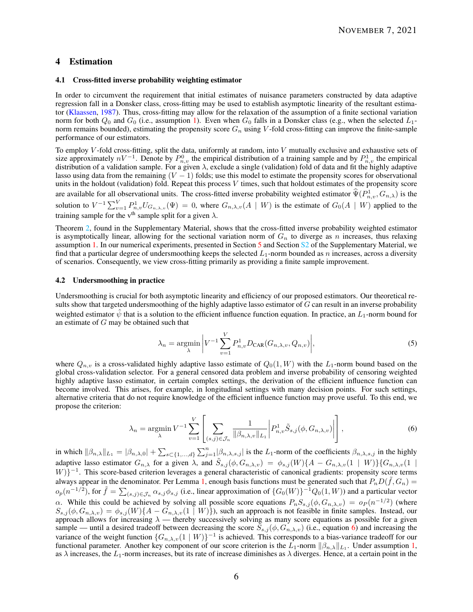# 4 Estimation

## 4.1 Cross-fitted inverse probability weighting estimator

In order to circumvent the requirement that initial estimates of nuisance parameters constructed by data adaptive regression fall in a Donsker class, cross-fitting may be used to establish asymptotic linearity of the resultant estimator (Klaassen, 1987). Thus, cross-fitting may allow for the relaxation of the assumption of a finite sectional variation norm for both  $Q_0$  and  $G_0$  (i.e., assumption 1). Even when  $G_0$  falls in a Donsker class (e.g., when the selected  $L_1$ norm remains bounded), estimating the propensity score *G<sup>n</sup>* using *V* -fold cross-fitting can improve the finite-sample performance of our estimators.

To employ *V* -fold cross-fitting, split the data, uniformly at random, into *V* mutually exclusive and exhaustive sets of size approximately  $nV^{-1}$ . Denote by  $P_{n,v}^0$  the empirical distribution of a training sample and by  $P_{n,v}^1$  the empirical distribution of a validation sample. For a given *λ*, exclude a single (validation) fold of data and fit the highly adaptive lasso using data from the remaining  $(V - 1)$  folds; use this model to estimate the propensity scores for observational units in the holdout (validation) fold. Repeat this process *V* times, such that holdout estimates of the propensity score are available for all observational units. The cross-fitted inverse probability weighted estimator  $\hat{\Psi}(P^1_{n,v}, G_{n,\lambda})$  is the solution to  $V^{-1}\sum_{v=1}^{V} P_{n,v}^1 U_{G_{n,\lambda,v}}(\Psi) = 0$ , where  $G_{n,\lambda,v}(A \mid W)$  is the estimate of  $G_0(A \mid W)$  applied to the training sample for the v<sup>th</sup> sample split for a given  $\lambda$ .

Theorem 2, found in the Supplementary Material, shows that the cross-fitted inverse probability weighted estimator is asymptotically linear, allowing for the sectional variation norm of  $G_n$  to diverge as *n* increases, thus relaxing assumption 1. In our numerical experiments, presented in Section 5 and Section S2 of the Supplementary Material, we find that a particular degree of undersmoothing keeps the selected *L*1-norm bounded as *n* increases, across a diversity of scenarios. Consequently, we view cross-fitting primarily as providing a finite sample improvement.

## 4.2 Undersmoothing in practice

Undersmoothing is crucial for both asymptotic linearity and efficiency of our proposed estimators. Our theoretical results show that targeted undersmoothing of the highly adaptive lasso estimator of *G* can result in an inverse probability weighted estimator  $\hat{\psi}$  that is a solution to the efficient influence function equation. In practice, an  $L_1$ -norm bound for an estimate of *G* may be obtained such that

$$
\lambda_n = \underset{\lambda}{\text{argmin}} \left| V^{-1} \sum_{v=1}^V P_{n,v}^1 D_{\text{CAR}}(G_{n,\lambda,v}, Q_{n,v}) \right|, \tag{5}
$$

where  $Q_{n,v}$  is a cross-validated highly adaptive lasso estimate of  $Q_0(1, W)$  with the  $L_1$ -norm bound based on the global cross-validation selector. For a general censored data problem and inverse probability of censoring weighted highly adaptive lasso estimator, in certain complex settings, the derivation of the efficient influence function can become involved. This arises, for example, in longitudinal settings with many decision points. For such settings, alternative criteria that do not require knowledge of the efficient influence function may prove useful. To this end, we propose the criterion:

$$
\lambda_n = \operatorname*{argmin}_{\lambda} V^{-1} \sum_{v=1}^{V} \left[ \sum_{(s,j) \in \mathcal{J}_n} \frac{1}{\|\beta_{n,\lambda,v}\|_{L_1}} \left| P_{n,v}^1 \tilde{S}_{s,j}(\phi, G_{n,\lambda,v}) \right| \right],\tag{6}
$$

in which  $\|\beta_{n,\lambda}\|_{L_1} = |\beta_{n,\lambda,0}| + \sum_{s \in \{1,\dots,d\}} \sum_{j=1}^n |\beta_{n,\lambda,s,j}|$  is the *L*<sub>1</sub>-norm of the coefficients  $\beta_{n,\lambda,s,j}$  in the highly adaptive lasso estimator  $G_{n,\lambda}$  for a given  $\lambda$ , and  $\tilde{S}_{s,j}(\phi, G_{n,\lambda,v}) = \phi_{s,j}(W) \{A - G_{n,\lambda,v}(1 \mid W)\} \{G_{n,\lambda,v}(1 \mid W)\}$ *W*)}<sup>-1</sup>. This score-based criterion leverages a general characteristic of canonical gradients: propensity score terms always appear in the denominator. Per Lemma 1, enough basis functions must be generated such that  $P_nD(\tilde{f},G_n)$  =  $o_p(n^{-1/2})$ , for  $\tilde{f} = \sum_{(s,j) \in \mathcal{J}_n} \alpha_{s,j} \phi_{s,j}$  (i.e., linear approximation of  $\{G_0(W)\}^{-1} Q_0(1, W)$ ) and a particular vector *α*. While this could be achieved by solving all possible score equations  $P_nS_{s,j}(\phi, G_{n,\lambda,v}) = o_P(n^{-1/2})$  (where  $S_{s,j}(\phi, G_{n,\lambda,v}) = \phi_{s,j}(W) \{A - G_{n,\lambda,v}(1 \mid W)\}$ , such an approach is not feasible in finite samples. Instead, our approach allows for increasing  $\lambda$  — thereby successively solving as many score equations as possible for a given sample — until a desired tradeoff between decreasing the score  $\bar{S}_{s,j}(\phi, G_{n,\lambda,v})$  (i.e., equation 6) and increasing the variance of the weight function  $\{G_{n,\lambda,v}(1 \mid W)\}^{-1}$  is achieved. This corresponds to a bias-variance tradeoff for our functional parameter. Another key component of our score criterion is the  $L_1$ -norm  $\|\beta_{n,\lambda}\|_{L_1}$ . Under assumption 1, as  $\lambda$  increases, the  $L_1$ -norm increases, but its rate of increase diminishes as  $\lambda$  diverges. Hence, at a certain point in the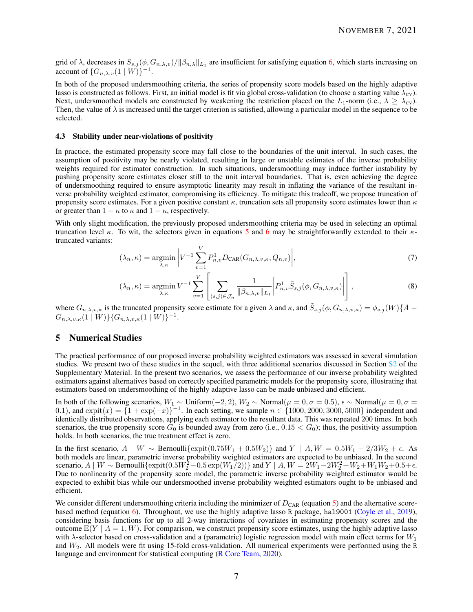grid of  $\lambda$ , decreases in  $S_{s,j}(\phi, G_{n,\lambda,v})/\|\beta_{n,\lambda}\|_{L_1}$  are insufficient for satisfying equation 6, which starts increasing on account of  $\{G_{n,\lambda,v}(1 \mid W)\}^{-1}$ .

In both of the proposed undersmoothing criteria, the series of propensity score models based on the highly adaptive lasso is constructed as follows. First, an initial model is fit via global cross-validation (to choose a starting value  $\lambda_{\rm cv}$ ). Next, undersmoothed models are constructed by weakening the restriction placed on the  $L_1$ -norm (i.e.,  $\lambda \geq \lambda_{CV}$ ). Then, the value of  $\lambda$  is increased until the target criterion is satisfied, allowing a particular model in the sequence to be selected.

## 4.3 Stability under near-violations of positivity

In practice, the estimated propensity score may fall close to the boundaries of the unit interval. In such cases, the assumption of positivity may be nearly violated, resulting in large or unstable estimates of the inverse probability weights required for estimator construction. In such situations, undersmoothing may induce further instability by pushing propensity score estimates closer still to the unit interval boundaries. That is, even achieving the degree of undersmoothing required to ensure asymptotic linearity may result in inflating the variance of the resultant inverse probability weighted estimator, compromising its efficiency. To mitigate this tradeoff, we propose truncation of propensity score estimates. For a given positive constant  $\kappa$ , truncation sets all propensity score estimates lower than  $\kappa$ or greater than  $1 - \kappa$  to  $\kappa$  and  $1 - \kappa$ , respectively.

With only slight modification, the previously proposed undersmoothing criteria may be used in selecting an optimal truncation level *κ*. To wit, the selectors given in equations 5 and 6 may be straightforwardly extended to their *κ*truncated variants:

$$
(\lambda_n, \kappa) = \underset{\lambda, \kappa}{\text{argmin}} \left| V^{-1} \sum_{v=1}^V P_{n,v}^1 D_{\text{CAR}}(G_{n,\lambda,v,\kappa}, Q_{n,v}) \right|, \tag{7}
$$

$$
(\lambda_n, \kappa) = \underset{\lambda, \kappa}{\text{argmin}} \ V^{-1} \sum_{v=1}^V \left[ \sum_{(s,j) \in \mathcal{J}_n} \frac{1}{\|\beta_{n,\lambda,v}\|_{L_1}} \left| P_{n,v}^1 \tilde{S}_{s,j}(\phi, G_{n,\lambda,v,\kappa}) \right| \right], \tag{8}
$$

where  $G_{n,\lambda,v,\kappa}$  is the truncated propensity score estimate for a given  $\lambda$  and  $\kappa$ , and  $\tilde{S}_{s,j}(\phi, G_{n,\lambda,v,\kappa}) = \phi_{s,j}(W)\{A G_{n,\lambda,v,\kappa}(1 \mid W) \} \{ G_{n,\lambda,v,\kappa}(1 \mid W) \}^{-1}.$ 

# 5 Numerical Studies

The practical performance of our proposed inverse probability weighted estimators was assessed in several simulation studies. We present two of these studies in the sequel, with three additional scenarios discussed in Section S2 of the Supplementary Material. In the present two scenarios, we assess the performance of our inverse probability weighted estimators against alternatives based on correctly specified parametric models for the propensity score, illustrating that estimators based on undersmoothing of the highly adaptive lasso can be made unbiased and efficient.

In both of the following scenarios, *W*<sup>1</sup> ∼ Uniform(−2*,* 2), *W*<sup>2</sup> ∼ Normal(*µ* = 0*, σ* = 0*.*5), ∼ Normal(*µ* = 0*, σ* = 0.1), and  $\exp(t(x) = \{1 + \exp(-x)\}^{-1}$ . In each setting, we sample  $n \in \{1000, 2000, 3000, 5000\}$  independent and identically distributed observations, applying each estimator to the resultant data. This was repeated 200 times. In both scenarios, the true propensity score  $G_0$  is bounded away from zero (i.e.,  $0.15 < G_0$ ); thus, the positivity assumption holds. In both scenarios, the true treatment effect is zero.

In the first scenario, *A* | *W* ∼ Bernoulli{expit(0.75*W*<sub>1</sub> + 0.5*W*<sub>2</sub>)} and *Y* | *A, W* = 0.5*W*<sub>1</sub> − 2/3*W*<sub>2</sub> +  $\epsilon$ . As both models are linear, parametric inverse probability weighted estimators are expected to be unbiased. In the second scenario, *A* | *W* ∼ Bernoulli{expit(0.5*W*<sub>2</sub><sup>2</sup> − 0.5 exp(*W*<sub>1</sub><sup> $7$ </sup>))} and *Y* | *A, W* = 2*W*<sub>1</sub> − 2*W*<sub>2</sub><sup>2</sup> + *W*<sub>2</sub> + *W*<sub>1</sub>*W*<sub>2</sub> + 0.5+ $\epsilon$ . Due to nonlinearity of the propensity score model, the parametric inverse probability weighted estimator would be expected to exhibit bias while our undersmoothed inverse probability weighted estimators ought to be unbiased and efficient.

We consider different undersmoothing criteria including the minimizer of  $D_{\text{CAR}}$  (equation 5) and the alternative scorebased method (equation 6). Throughout, we use the highly adaptive lasso R package, hal9001 (Coyle et al., 2019), considering basis functions for up to all 2-way interactions of covariates in estimating propensity scores and the outcome  $\mathbb{E}(Y \mid A = 1, W)$ . For comparison, we construct propensity score estimates, using the highly adaptive lasso with *λ*-selector based on cross-validation and a (parametric) logistic regression model with main effect terms for *W*<sup>1</sup> and *W*2. All models were fit using 15-fold cross-validation. All numerical experiments were performed using the R language and environment for statistical computing (R Core Team, 2020).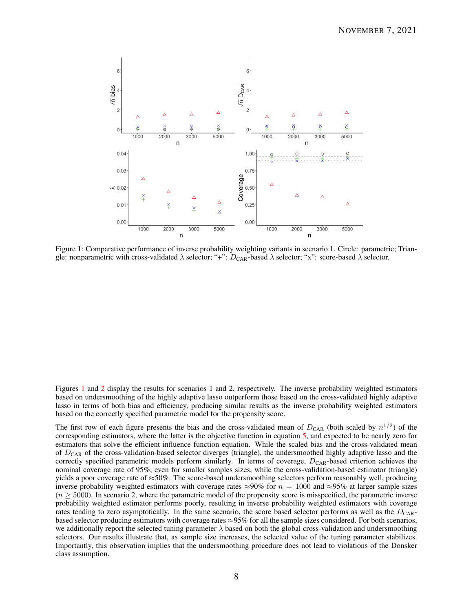

Figure 1: Comparative performance of inverse probability weighting variants in scenario 1. Circle: parametric; Triangle: nonparametric with cross-validated  $\lambda$  selector; "+": *D*<sub>CAR</sub>-based  $\lambda$  selector; "x": score-based  $\lambda$  selector.

Figures 1 and 2 display the results for scenarios 1 and 2, respectively. The inverse probability weighted estimators based on undersmoothing of the highly adaptive lasso outperform those based on the cross-validated highly adaptive lasso in terms of both bias and efficiency, producing similar results as the inverse probability weighted estimators based on the correctly specified parametric model for the propensity score.

The first row of each figure presents the bias and the cross-validated mean of  $D_{\text{CAR}}$  (both scaled by  $n^{1/2}$ ) of the corresponding estimators, where the latter is the objective function in equation 5, and expected to be nearly zero for estimators that solve the efficient influence function equation. While the scaled bias and the cross-validated mean of *D*<sub>CAR</sub> of the cross-validation-based selector diverges (triangle), the undersmoothed highly adaptive lasso and the correctly specified parametric models perform similarly. In terms of coverage,  $D_{\text{CAR}}$ -based criterion achieves the nominal coverage rate of 95%, even for smaller samples sizes, while the cross-validation-based estimator (triangle) yields a poor coverage rate of ≈50%. The score-based undersmoothing selectors perform reasonably well, producing inverse probability weighted estimators with coverage rates  $\approx 90\%$  for  $n = 1000$  and  $\approx 95\%$  at larger sample sizes  $(n \geq 5000)$ . In scenario 2, where the parametric model of the propensity score is misspecified, the parametric inverse probability weighted estimator performs poorly, resulting in inverse probability weighted estimators with coverage rates tending to zero asymptotically. In the same scenario, the score based selector performs as well as the  $D_{CAR}$ based selector producing estimators with coverage rates  $\approx$ 95% for all the sample sizes considered. For both scenarios, we additionally report the selected tuning parameter *λ* based on both the global cross-validation and undersmoothing selectors. Our results illustrate that, as sample size increases, the selected value of the tuning parameter stabilizes. Importantly, this observation implies that the undersmoothing procedure does not lead to violations of the Donsker class assumption.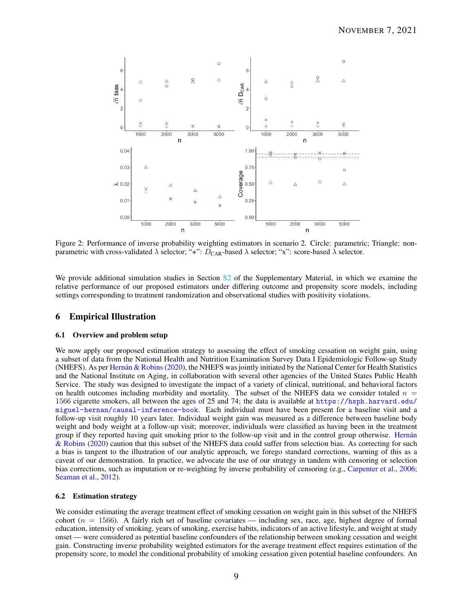

Figure 2: Performance of inverse probability weighting estimators in scenario 2. Circle: parametric; Triangle: nonparametric with cross-validated  $\lambda$  selector; "+":  $D_{\text{CAR}}$ -based  $\lambda$  selector; "x": score-based  $\lambda$  selector.

We provide additional simulation studies in Section S2 of the Supplementary Material, in which we examine the relative performance of our proposed estimators under differing outcome and propensity score models, including settings corresponding to treatment randomization and observational studies with positivity violations.

# 6 Empirical Illustration

## 6.1 Overview and problem setup

We now apply our proposed estimation strategy to assessing the effect of smoking cessation on weight gain, using a subset of data from the National Health and Nutrition Examination Survey Data I Epidemiologic Follow-up Study (NHEFS). As per Hernán & Robins  $(2020)$ , the NHEFS was jointly initiated by the National Center for Health Statistics and the National Institute on Aging, in collaboration with several other agencies of the United States Public Health Service. The study was designed to investigate the impact of a variety of clinical, nutritional, and behavioral factors on health outcomes including morbidity and mortality. The subset of the NHEFS data we consider totaled  $n =$ 1566 cigarette smokers, all between the ages of 25 and 74; the data is available at https://hsph.harvard.edu/ miguel-hernan/causal-inference-book. Each individual must have been present for a baseline visit and a follow-up visit roughly 10 years later. Individual weight gain was measured as a difference between baseline body weight and body weight at a follow-up visit; moreover, individuals were classified as having been in the treatment group if they reported having quit smoking prior to the follow-up visit and in the control group otherwise. Hernán & Robins (2020) caution that this subset of the NHEFS data could suffer from selection bias. As correcting for such a bias is tangent to the illustration of our analytic approach, we forego standard corrections, warning of this as a caveat of our demonstration. In practice, we advocate the use of our strategy in tandem with censoring or selection bias corrections, such as imputation or re-weighting by inverse probability of censoring (e.g., Carpenter et al., 2006; Seaman et al., 2012).

### 6.2 Estimation strategy

We consider estimating the average treatment effect of smoking cessation on weight gain in this subset of the NHEFS cohort  $(n = 1566)$ . A fairly rich set of baseline covariates — including sex, race, age, highest degree of formal education, intensity of smoking, years of smoking, exercise habits, indicators of an active lifestyle, and weight at study onset — were considered as potential baseline confounders of the relationship between smoking cessation and weight gain. Constructing inverse probability weighted estimators for the average treatment effect requires estimation of the propensity score, to model the conditional probability of smoking cessation given potential baseline confounders. An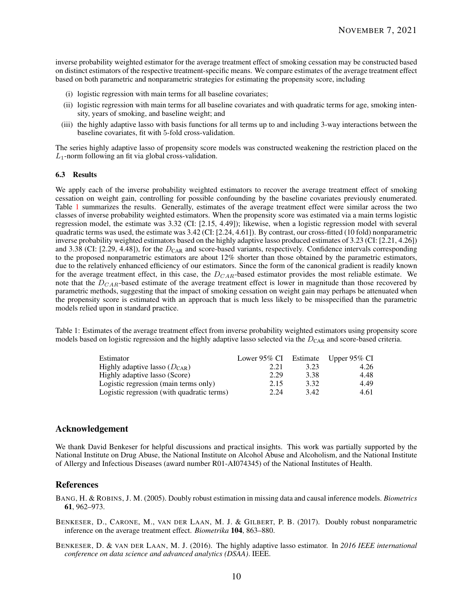inverse probability weighted estimator for the average treatment effect of smoking cessation may be constructed based on distinct estimators of the respective treatment-specific means. We compare estimates of the average treatment effect based on both parametric and nonparametric strategies for estimating the propensity score, including

- (i) logistic regression with main terms for all baseline covariates;
- (ii) logistic regression with main terms for all baseline covariates and with quadratic terms for age, smoking intensity, years of smoking, and baseline weight; and
- (iii) the highly adaptive lasso with basis functions for all terms up to and including 3-way interactions between the baseline covariates, fit with 5-fold cross-validation.

The series highly adaptive lasso of propensity score models was constructed weakening the restriction placed on the *L*1-norm following an fit via global cross-validation.

## 6.3 Results

We apply each of the inverse probability weighted estimators to recover the average treatment effect of smoking cessation on weight gain, controlling for possible confounding by the baseline covariates previously enumerated. Table 1 summarizes the results. Generally, estimates of the average treatment effect were similar across the two classes of inverse probability weighted estimators. When the propensity score was estimated via a main terms logistic regression model, the estimate was 3.32 (CI: [2.15, 4.49]); likewise, when a logistic regression model with several quadratic terms was used, the estimate was 3.42 (CI: [2.24, 4.61]). By contrast, our cross-fitted (10 fold) nonparametric inverse probability weighted estimators based on the highly adaptive lasso produced estimates of 3.23 (CI: [2.21, 4.26]) and 3.38 (CI:  $[2.29, 4.48]$ ), for the  $D_{CAR}$  and score-based variants, respectively. Confidence intervals corresponding to the proposed nonparametric estimators are about 12% shorter than those obtained by the parametric estimators, due to the relatively enhanced efficiency of our estimators. Since the form of the canonical gradient is readily known for the average treatment effect, in this case, the *DCAR*-based estimator provides the most reliable estimate. We note that the *DCAR*-based estimate of the average treatment effect is lower in magnitude than those recovered by parametric methods, suggesting that the impact of smoking cessation on weight gain may perhaps be attenuated when the propensity score is estimated with an approach that is much less likely to be misspecified than the parametric models relied upon in standard practice.

Table 1: Estimates of the average treatment effect from inverse probability weighted estimators using propensity score models based on logistic regression and the highly adaptive lasso selected via the *D*<sub>CAR</sub> and score-based criteria.

| Estimator                                  | Lower 95% CI Estimate Upper 95% CI |      |      |
|--------------------------------------------|------------------------------------|------|------|
| Highly adaptive lasso $(D_{\text{CAR}})$   | 2.21                               | 3.23 | 4.26 |
| Highly adaptive lasso (Score)              | 2.29                               | 3.38 | 4.48 |
| Logistic regression (main terms only)      | 2.15                               | 3.32 | 4.49 |
| Logistic regression (with quadratic terms) | 2.24                               | 3.42 | 4.61 |

# Acknowledgement

We thank David Benkeser for helpful discussions and practical insights. This work was partially supported by the National Institute on Drug Abuse, the National Institute on Alcohol Abuse and Alcoholism, and the National Institute of Allergy and Infectious Diseases (award number R01-AI074345) of the National Institutes of Health.

# **References**

BANG, H. & ROBINS, J. M. (2005). Doubly robust estimation in missing data and causal inference models. *Biometrics* 61, 962–973.

BENKESER, D., CARONE, M., VAN DER LAAN, M. J. & GILBERT, P. B. (2017). Doubly robust nonparametric inference on the average treatment effect. *Biometrika* 104, 863–880.

BENKESER, D. & VAN DER LAAN, M. J. (2016). The highly adaptive lasso estimator. In *2016 IEEE international conference on data science and advanced analytics (DSAA)*. IEEE.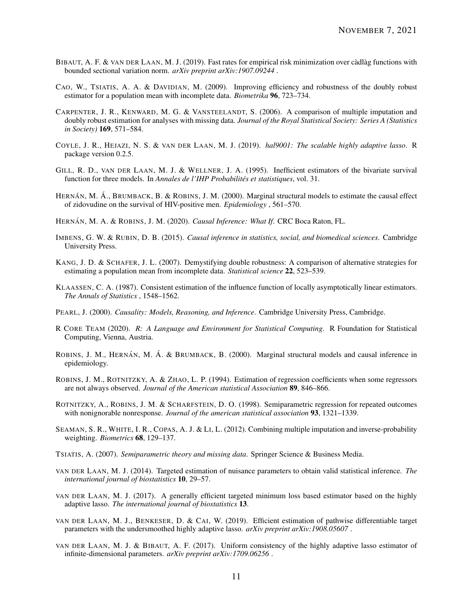- BIBAUT, A. F. & VAN DER LAAN, M. J. (2019). Fast rates for empirical risk minimization over càdlàg functions with bounded sectional variation norm. *arXiv preprint arXiv:1907.09244* .
- CAO, W., TSIATIS, A. A. & DAVIDIAN, M. (2009). Improving efficiency and robustness of the doubly robust estimator for a population mean with incomplete data. *Biometrika* 96, 723–734.
- CARPENTER, J. R., KENWARD, M. G. & VANSTEELANDT, S. (2006). A comparison of multiple imputation and doubly robust estimation for analyses with missing data. *Journal of the Royal Statistical Society: Series A (Statistics in Society)* 169, 571–584.
- COYLE, J. R., HEJAZI, N. S. & VAN DER LAAN, M. J. (2019). *hal9001: The scalable highly adaptive lasso*. R package version 0.2.5.
- GILL, R. D., VAN DER LAAN, M. J. & WELLNER, J. A. (1995). Inefficient estimators of the bivariate survival function for three models. In *Annales de l'IHP Probabilités et statistiques*, vol. 31.
- HERNÁN, M. Á., BRUMBACK, B. & ROBINS, J. M. (2000). Marginal structural models to estimate the causal effect of zidovudine on the survival of HIV-positive men. *Epidemiology* , 561–570.
- HERNÁN, M. A. & ROBINS, J. M. (2020). *Causal Inference: What If.* CRC Boca Raton, FL.
- IMBENS, G. W. & RUBIN, D. B. (2015). *Causal inference in statistics, social, and biomedical sciences*. Cambridge University Press.
- KANG, J. D. & SCHAFER, J. L. (2007). Demystifying double robustness: A comparison of alternative strategies for estimating a population mean from incomplete data. *Statistical science* 22, 523–539.
- KLAASSEN, C. A. (1987). Consistent estimation of the influence function of locally asymptotically linear estimators. *The Annals of Statistics* , 1548–1562.
- PEARL, J. (2000). *Causality: Models, Reasoning, and Inference*. Cambridge University Press, Cambridge.
- R CORE TEAM (2020). *R: A Language and Environment for Statistical Computing*. R Foundation for Statistical Computing, Vienna, Austria.
- ROBINS, J. M., HERNÁN, M. Á. & BRUMBACK, B. (2000). Marginal structural models and causal inference in epidemiology.
- ROBINS, J. M., ROTNITZKY, A. & ZHAO, L. P. (1994). Estimation of regression coefficients when some regressors are not always observed. *Journal of the American statistical Association* 89, 846–866.
- ROTNITZKY, A., ROBINS, J. M. & SCHARFSTEIN, D. O. (1998). Semiparametric regression for repeated outcomes with nonignorable nonresponse. *Journal of the american statistical association* 93, 1321–1339.
- SEAMAN, S. R., WHITE, I. R., COPAS, A. J. & LI, L. (2012). Combining multiple imputation and inverse-probability weighting. *Biometrics* 68, 129–137.
- TSIATIS, A. (2007). *Semiparametric theory and missing data*. Springer Science & Business Media.
- VAN DER LAAN, M. J. (2014). Targeted estimation of nuisance parameters to obtain valid statistical inference. *The international journal of biostatistics* 10, 29–57.
- VAN DER LAAN, M. J. (2017). A generally efficient targeted minimum loss based estimator based on the highly adaptive lasso. *The international journal of biostatistics* 13.
- VAN DER LAAN, M. J., BENKESER, D. & CAI, W. (2019). Efficient estimation of pathwise differentiable target parameters with the undersmoothed highly adaptive lasso. *arXiv preprint arXiv:1908.05607* .
- VAN DER LAAN, M. J. & BIBAUT, A. F. (2017). Uniform consistency of the highly adaptive lasso estimator of infinite-dimensional parameters. *arXiv preprint arXiv:1709.06256* .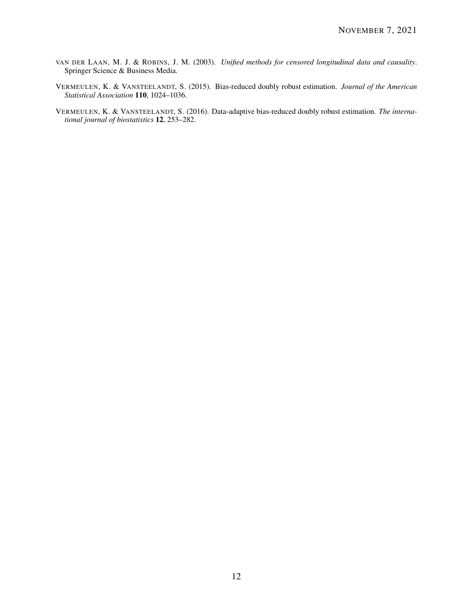- VAN DER LAAN, M. J. & ROBINS, J. M. (2003). *Unified methods for censored longitudinal data and causality*. Springer Science & Business Media.
- VERMEULEN, K. & VANSTEELANDT, S. (2015). Bias-reduced doubly robust estimation. *Journal of the American Statistical Association* 110, 1024–1036.
- VERMEULEN, K. & VANSTEELANDT, S. (2016). Data-adaptive bias-reduced doubly robust estimation. *The international journal of biostatistics* 12, 253–282.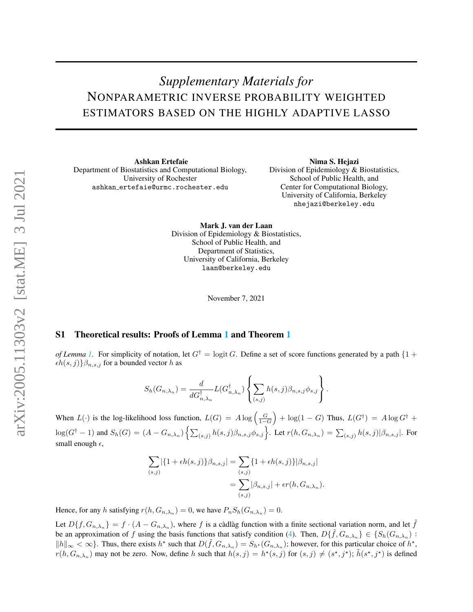# *Supplementary Materials for* NONPARAMETRIC INVERSE PROBABILITY WEIGHTED ESTIMATORS BASED ON THE HIGHLY ADAPTIVE LASSO

Ashkan Ertefaie Department of Biostatistics and Computational Biology, University of Rochester ashkan ertefaie@urmc.rochester.edu

Nima S. Hejazi Division of Epidemiology & Biostatistics, School of Public Health, and Center for Computational Biology, University of California, Berkeley nhejazi@berkeley.edu

Mark J. van der Laan Division of Epidemiology & Biostatistics, School of Public Health, and Department of Statistics, University of California, Berkeley laan@berkeley.edu

November 7, 2021

# S1 Theoretical results: Proofs of Lemma 1 and Theorem 1

*of Lemma 1.* For simplicity of notation, let  $G^{\dagger} = \logit G$ . Define a set of score functions generated by a path  $\{1 +$  $\epsilon h(s, j)$ } $\beta_{n, s, j}$  for a bounded vector *h* as

$$
S_h(G_{n,\lambda_n}) = \frac{d}{dG_{n,\lambda_n}^{\dagger}} L(G_{n,\lambda_n}^{\dagger}) \left\{ \sum_{(s,j)} h(s,j) \beta_{n,s,j} \phi_{s,j} \right\}.
$$

When  $L(\cdot)$  is the log-likelihood loss function,  $L(G) = A \log \left( \frac{G}{1-G} \right)$  $+ \log(1 - G)$  Thus,  $L(G^{\dagger}) = A \log G^{\dagger} +$  $\log(G^{\dagger}-1)$  and  $S_h(G) = (A - G_{n,\lambda_n}) \left\{ \sum_{(s,j)} h(s,j) \beta_{n,s,j} \phi_{s,j} \right\}$ . Let  $r(h, G_{n,\lambda_n}) = \sum_{(s,j)} h(s,j) |\beta_{n,s,j}|$ . For small enough  $\epsilon$ ,

$$
\sum_{(s,j)} |\{1 + \epsilon h(s,j)\}\beta_{n,s,j}| = \sum_{(s,j)} \{1 + \epsilon h(s,j)\} |\beta_{n,s,j}|
$$
  
= 
$$
\sum_{(s,j)} |\beta_{n,s,j}| + \epsilon r(h, G_{n,\lambda_n}).
$$

Hence, for any *h* satisfying  $r(h, G_{n,\lambda_n}) = 0$ , we have  $P_n S_h(G_{n,\lambda_n}) = 0$ .

Let  $D\{f, G_{n,\lambda_n}\} = f \cdot (A - G_{n,\lambda_n})$ , where *f* is a càdlàg function with a finite sectional variation norm, and let  $\tilde{f}$ be an approximation of *f* using the basis functions that satisfy condition (4). Then,  $D\{\tilde{f}, G_{n,\lambda_n}\}\in \{S_h(G_{n,\lambda_n})$ :  $||h||_{\infty} < \infty$ . Thus, there exists  $h^*$  such that  $D(\tilde{f}, G_{n,\lambda_n}) = S_{h^*}(G_{n,\lambda_n})$ ; however, for this particular choice of  $h^*$ ,  $r(h, G_{n,\lambda_n})$  may not be zero. Now, define h such that  $h(s, j) = h^*(s, j)$  for  $(s, j) \neq (s^*, j^*)$ ;  $\tilde{h}(s^*, j^*)$  is defined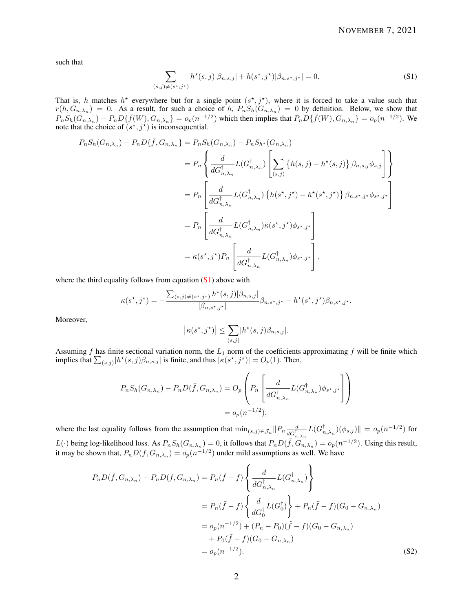such that

$$
\sum_{(s,j)\neq(s^*,j^*)} h^*(s,j)|\beta_{n,s,j}| + h(s^*,j^*)|\beta_{n,s^*,j^*}| = 0.
$$
\n(S1)

That is, *h* matches  $h^*$  everywhere but for a single point  $(s^*, j^*)$ , where it is forced to take a value such that  $r(h, G_{n,\lambda_n}) = 0$ . As a result, for such a choice of *h*,  $P_n S_h(G_{n,\lambda_n}) = 0$  by definition. Below, we show that  $P_nS_h(G_{n,\lambda_n})-P_nD\{\tilde{f}(W),G_{n,\lambda_n}\}=o_p(n^{-1/2})$  which then implies that  $P_nD\{\tilde{f}(W),G_{n,\lambda_n}\}=o_p(n^{-1/2})$ . We note that the choice of  $(s^*, j^*)$  is inconsequential.

$$
P_n S_h(G_{n,\lambda_n}) - P_n D\{\tilde{f}, G_{n,\lambda_n}\} = P_n S_h(G_{n,\lambda_n}) - P_n S_{h^*}(G_{n,\lambda_n})
$$
  
\n
$$
= P_n \left\{ \frac{d}{dG_{n,\lambda_n}^{\dagger}} L(G_{n,\lambda_n}^{\dagger}) \left[ \sum_{(s,j)} \{h(s,j) - h^*(s,j)\} \beta_{n,s,j} \phi_{s,j} \right] \right\}
$$
  
\n
$$
= P_n \left[ \frac{d}{dG_{n,\lambda_n}^{\dagger}} L(G_{n,\lambda_n}^{\dagger}) \{h(s^*,j^*) - h^*(s^*,j^*)\} \beta_{n,s^*,j^*} \phi_{s^*,j^*} \right]
$$
  
\n
$$
= P_n \left[ \frac{d}{dG_{n,\lambda_n}^{\dagger}} L(G_{n,\lambda_n}^{\dagger}) \kappa(s^*,j^*) \phi_{s^*,j^*} \right]
$$
  
\n
$$
= \kappa(s^*,j^*) P_n \left[ \frac{d}{dG_{n,\lambda_n}^{\dagger}} L(G_{n,\lambda_n}^{\dagger}) \phi_{s^*,j^*} \right],
$$

where the third equality follows from equation  $(S1)$  above with

$$
\kappa(s^\star, j^\star) = -\frac{\sum_{(s,j)\neq(s^\star, j^\star)} h^\star(s,j) |\beta_{n,s,j}|}{|\beta_{n,s^\star, j^\star}|} \beta_{n,s^\star, j^\star} - h^\star(s^\star, j^\star) \beta_{n,s^\star, j^\star}.
$$

Moreover,

$$
\left|\kappa(s^\star, j^\star)\right| \leq \sum_{(s,j)} |h^\star(s,j)\beta_{n,s,j}|.
$$

Assuming *f* has finite sectional variation norm, the *L*<sup>1</sup> norm of the coefficients approximating *f* will be finite which implies that  $\sum_{(s,j)} |h^*(s,j)\beta_{n,s,j}|$  is finite, and thus  $|\kappa(s^*,j^*)| = O_p(1)$ . Then,

$$
P_n S_h(G_{n,\lambda_n}) - P_n D(\tilde{f}, G_{n,\lambda_n}) = O_p\left(P_n \left[\frac{d}{dG_{n,\lambda_n}^{\dagger}} L(G_{n,\lambda_n}^{\dagger}) \phi_{s^*,j^*}\right]\right)
$$
  
=  $o_p(n^{-1/2}),$ 

where the last equality follows from the assumption that  $\min_{(s,j)\in\mathcal{J}_n} ||P_n \frac{d}{dG^{\dagger}}$  $\frac{d}{dG_{n,\lambda_n}^\dagger} L(G_{n,\lambda_n}^\dagger)(\phi_{s,j})\| = o_p(n^{-1/2})$  for  $L(\cdot)$  being log-likelihood loss. As  $P_n S_h(G_{n,\lambda_n}) = 0$ , it follows that  $P_n D(\tilde{f}, G_{n,\lambda_n}) = o_p(n^{-1/2})$ . Using this result, it may be shown that,  $P_n D(f, G_{n,\lambda_n}) = o_p(n^{-1/2})$  under mild assumptions as well. We have

$$
P_n D(\tilde{f}, G_{n,\lambda_n}) - P_n D(f, G_{n,\lambda_n}) = P_n(\tilde{f} - f) \left\{ \frac{d}{dG_{n,\lambda_n}^{\dagger}} L(G_{n,\lambda_n}^{\dagger}) \right\}
$$
  

$$
= P_n(\tilde{f} - f) \left\{ \frac{d}{dG_0^{\dagger}} L(G_0^{\dagger}) \right\} + P_n(\tilde{f} - f)(G_0 - G_{n,\lambda_n})
$$
  

$$
= o_p(n^{-1/2}) + (P_n - P_0)(\tilde{f} - f)(G_0 - G_{n,\lambda_n})
$$
  

$$
+ P_0(\tilde{f} - f)(G_0 - G_{n,\lambda_n})
$$
  

$$
= o_p(n^{-1/2}).
$$
 (S2)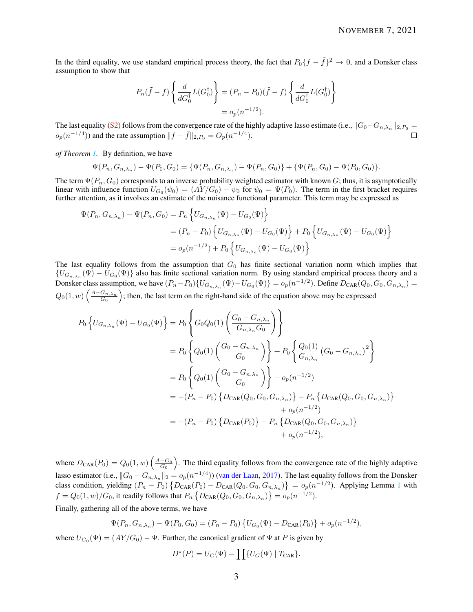In the third equality, we use standard empirical process theory, the fact that  $P_0\{f - \tilde{f}\}^2 \to 0$ , and a Donsker class assumption to show that

$$
P_n(\tilde{f} - f) \left\{ \frac{d}{dG_0^{\dagger}} L(G_0^{\dagger}) \right\} = (P_n - P_0)(\tilde{f} - f) \left\{ \frac{d}{dG_0^{\dagger}} L(G_0^{\dagger}) \right\}
$$

$$
= o_p(n^{-1/2}).
$$

The last equality (S2) follows from the convergence rate of the highly adaptive lasso estimate (i.e.,  $||G_0-G_{n,\lambda_n}||_{2,P_0} =$  $o_p(n^{-1/4})$  and the rate assumption  $||f - \tilde{f}||_2$ ,  $P_0 = O_p(n^{-1/4})$ .

*of Theorem 1.* By definition, we have

$$
\Psi(P_n, G_{n,\lambda_n}) - \Psi(P_0, G_0) = \{\Psi(P_n, G_{n,\lambda_n}) - \Psi(P_n, G_0)\} + \{\Psi(P_n, G_0) - \Psi(P_0, G_0)\}.
$$

The term  $\Psi(P_n, G_0)$  corresponds to an inverse probability weighted estimator with known *G*; thus, it is asymptotically linear with influence function  $U_{G_0}(\psi_0) = (AY/G_0) - \psi_0$  for  $\psi_0 = \Psi(P_0)$ . The term in the first bracket requires further attention, as it involves an estimate of the nuisance functional parameter. This term may be expressed as

$$
\Psi(P_n, G_{n,\lambda_n}) - \Psi(P_n, G_0) = P_n \left\{ U_{G_{n,\lambda_n}}(\Psi) - U_{G_0}(\Psi) \right\}
$$
  
=  $(P_n - P_0) \left\{ U_{G_{n,\lambda_n}}(\Psi) - U_{G_0}(\Psi) \right\} + P_0 \left\{ U_{G_{n,\lambda_n}}(\Psi) - U_{G_0}(\Psi) \right\}$   
=  $o_p(n^{-1/2}) + P_0 \left\{ U_{G_{n,\lambda_n}}(\Psi) - U_{G_0}(\Psi) \right\}$ 

The last equality follows from the assumption that *G*<sup>0</sup> has finite sectional variation norm which implies that  ${U_{G_{n,\lambda_n}}(\Psi) - U_{G_0}(\Psi)}$  also has finite sectional variation norm. By using standard empirical process theory and a Donsker class assumption, we have  $(P_n - P_0) \{U_{G_{n,\lambda_n}}(\Psi) - U_{G_0}(\Psi)\} = o_p(n^{-1/2})$ . Define  $D_{CAR}(Q_0, G_0, G_{n,\lambda_n}) =$  $Q_0(1, w) \left( \frac{A - G_{n,\lambda_n}}{G_0} \right)$ ; then, the last term on the right-hand side of the equation above may be expressed

$$
P_0 \left\{ U_{G_{n,\lambda_n}}(\Psi) - U_{G_0}(\Psi) \right\} = P_0 \left\{ G_0 Q_0(1) \left( \frac{G_0 - G_{n,\lambda_n}}{G_{n,\lambda_n} G_0} \right) \right\}
$$
  
\n
$$
= P_0 \left\{ Q_0(1) \left( \frac{G_0 - G_{n,\lambda_n}}{G_0} \right) \right\} + P_0 \left\{ \frac{Q_0(1)}{G_{n,\lambda_n}} \left( G_0 - G_{n,\lambda_n} \right)^2 \right\}
$$
  
\n
$$
= P_0 \left\{ Q_0(1) \left( \frac{G_0 - G_{n,\lambda_n}}{G_0} \right) \right\} + o_p(n^{-1/2})
$$
  
\n
$$
= -(P_n - P_0) \left\{ D_{\text{CAR}}(Q_0, G_0, G_{n,\lambda_n}) \right\} - P_n \left\{ D_{\text{CAR}}(Q_0, G_0, G_{n,\lambda_n}) \right\}
$$
  
\n
$$
+ o_p(n^{-1/2})
$$
  
\n
$$
= -(P_n - P_0) \left\{ D_{\text{CAR}}(P_0) \right\} - P_n \left\{ D_{\text{CAR}}(Q_0, G_0, G_{n,\lambda_n}) \right\}
$$
  
\n
$$
+ o_p(n^{-1/2}),
$$

where  $D_{\text{CAR}}(P_0) = Q_0(1, w) \left( \frac{A - G_0}{G_0} \right)$  . The third equality follows from the convergence rate of the highly adaptive lasso estimator (i.e.,  $||G_0 - G_{n,\lambda_n}||_2 = o_p(n^{-1/4})$ ) (van der Laan, 2017). The last equality follows from the Donsker class condition, yielding  $(P_n - P_0) \{ D_{\text{CAR}}(P_0) - D_{\text{CAR}}(Q_0, G_0, G_{n,\lambda_n}) \} = o_p(n^{-1/2})$ . Applying Lemma 1 with  $f = Q_0(1, w)/G_0$ , it readily follows that  $P_n\left\{D_{\text{CAR}}(Q_0, G_0, G_{n, \lambda_n})\right\} = o_p(n^{-1/2})$ .

Finally, gathering all of the above terms, we have

$$
\Psi(P_n, G_{n,\lambda_n}) - \Psi(P_0, G_0) = (P_n - P_0) \{ U_{G_0}(\Psi) - D_{\text{CAR}}(P_0) \} + o_p(n^{-1/2}),
$$

where  $U_{G_0}(\Psi) = (AY/G_0) - \Psi$ . Further, the canonical gradient of  $\Psi$  at *P* is given by

$$
D^{\star}(P) = U_G(\Psi) - \prod \{ U_G(\Psi) \mid T_{\text{CAR}} \}.
$$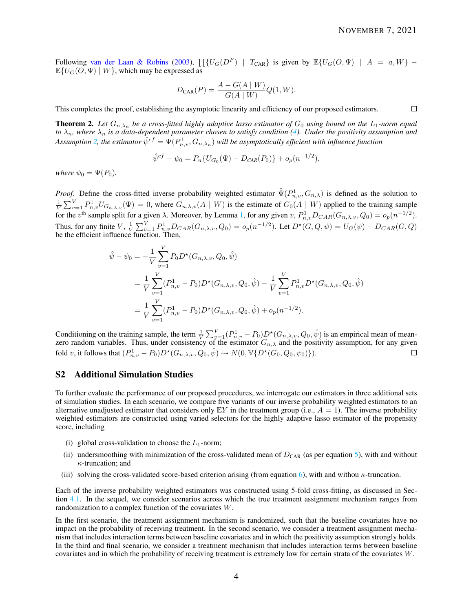$\Box$ 

Following van der Laan & Robins (2003),  $\prod \{U_G(D^F) \mid T_{CAR}\}$  is given by  $\mathbb{E}\{U_G(O, \Psi) \mid A = a, W\}$  –  $\mathbb{E}\{U_G(O,\Psi) \mid W\}$ , which may be expressed as

$$
D_{\text{CAR}}(P) = \frac{A - G(A \mid W)}{G(A \mid W)} Q(1, W).
$$

This completes the proof, establishing the asymptotic linearity and efficiency of our proposed estimators.

**Theorem 2.** Let  $G_{n,\lambda_n}$  be a cross-fitted highly adaptive lasso estimator of  $G_0$  using bound on the  $L_1$ -norm equal *to λn, where λ<sup>n</sup> is a data-dependent parameter chosen to satisfy condition (4). Under the positivity assumption and* Assumption 2, the estimator  $\hat{\psi}^{cf} = \Psi(P^1_{n,v},G_{n,\lambda_n})$  will be asymptotically efficient with influence function

$$
\hat{\psi}^{cf} - \psi_0 = P_n \{ U_{G_0}(\Psi) - D_{CAR}(P_0) \} + o_p(n^{-1/2}),
$$

*where*  $\psi_0 = \Psi(P_0)$ *.* 

*Proof.* Define the cross-fitted inverse probability weighted estimator  $\hat{\Psi}(P^1_{n,v}, G_{n,\lambda})$  is defined as the solution to  $\frac{1}{V} \sum_{v=1}^{V} P_{n,v}^1 U_{G_{n,\lambda,v}}(\Psi) = 0$ , where  $G_{n,\lambda,v}(A \mid W)$  is the estimate of  $G_0(A \mid W)$  applied to the training sample  $V \subseteq v=1, n, v \in G_{n,\lambda,v}(x) = 0$ , where  $\bigcup_{n,\lambda,v}(1, |W|)$  is the estimate of  $\bigcup_{n=1}^{\infty} (I_n, |W|)$  applied to the training sample for the  $v^{\text{th}}$  sample split for a given  $\lambda$ . Moreover, by Lemma 1, for any given  $v$ ,  $P_{n,v$ Thus, for any finite  $V$ ,  $\frac{1}{V} \sum_{v=1}^{V} P_{n,v}^1 D_{CAR}(G_{n,\lambda,v}, Q_0) = o_p(n^{-1/2})$ . Let  $D^*(G, Q, \psi) = U_G(\psi) - D_{CAR}(G, Q)$  be the efficient influence function. Then,

$$
\hat{\psi} - \psi_0 = -\frac{1}{V} \sum_{v=1}^{V} P_0 D^{\star} (G_{n,\lambda,v}, Q_0, \hat{\psi})
$$
  
\n
$$
= \frac{1}{V} \sum_{v=1}^{V} (P_{n,v}^1 - P_0) D^{\star} (G_{n,\lambda,v}, Q_0, \hat{\psi}) - \frac{1}{V} \sum_{v=1}^{V} P_{n,v}^1 D^{\star} (G_{n,\lambda,v}, Q_0, \hat{\psi})
$$
  
\n
$$
= \frac{1}{V} \sum_{v=1}^{V} (P_{n,v}^1 - P_0) D^{\star} (G_{n,\lambda,v}, Q_0, \hat{\psi}) + o_p(n^{-1/2}).
$$

Conditioning on the training sample, the term  $\frac{1}{V} \sum_{v=1}^{V} (P_{n,v}^1 - P_0) D^*(G_{n,\lambda,v}, Q_0, \hat{\psi})$  is an empirical mean of meanzero random variables. Thus, under consistency of the estimator  $G_{n,\lambda}$  and the positivity assumption, for any given fold *v*, it follows that  $(P_{n,v}^1 - P_0)D^*(G_{n,\lambda,v}, Q_0, \hat{\psi}) \rightsquigarrow N(0, \mathbb{V}\{D^*(G_0, Q_0, \psi_0)\}).$  $\Box$ 

# S2 Additional Simulation Studies

To further evaluate the performance of our proposed procedures, we interrogate our estimators in three additional sets of simulation studies. In each scenario, we compare five variants of our inverse probability weighted estimators to an alternative unadjusted estimator that considers only  $EY$  in the treatment group (i.e.,  $A = 1$ ). The inverse probability weighted estimators are constructed using varied selectors for the highly adaptive lasso estimator of the propensity score, including

- (i) global cross-validation to choose the  $L_1$ -norm;
- (ii) undersmoothing with minimization of the cross-validated mean of  $D_{CAR}$  (as per equation 5), with and without *κ*-truncation; and
- (iii) solving the cross-validated score-based criterion arising (from equation 6), with and withou *κ*-truncation.

Each of the inverse probability weighted estimators was constructed using 5-fold cross-fitting, as discussed in Section 4.1. In the sequel, we consider scenarios across which the true treatment assignment mechanism ranges from randomization to a complex function of the covariates *W*.

In the first scenario, the treatment assignment mechanism is randomized, such that the baseline covariates have no impact on the probability of receiving treatment. In the second scenario, we consider a treatment assignment mechanism that includes interaction terms between baseline covariates and in which the positivity assumption strongly holds. In the third and final scenario, we consider a treatment mechanism that includes interaction terms between baseline covariates and in which the probability of receiving treatment is extremely low for certain strata of the covariates *W*.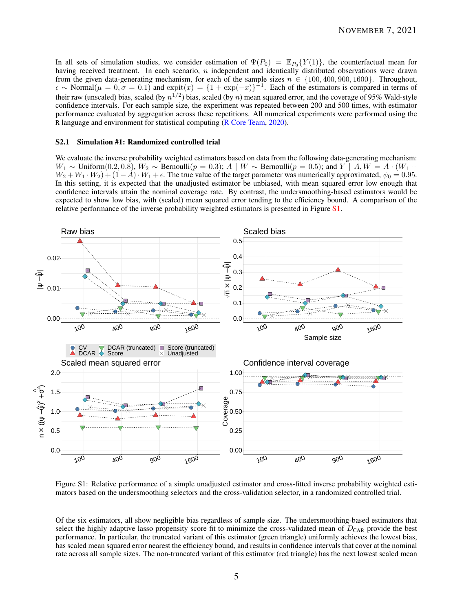In all sets of simulation studies, we consider estimation of  $\Psi(P_0) = \mathbb{E}_{P_0} \{Y(1)\}$ , the counterfactual mean for having received treatment. In each scenario, *n* independent and identically distributed observations were drawn from the given data-generating mechanism, for each of the sample sizes  $n \in \{100, 400, 900, 1600\}$ . Throughout,  $\epsilon \sim \text{Normal}(\mu = 0, \sigma = 0.1)$  and  $\expit(x) = \{1 + \exp(-x)\}^{-1}$ . Each of the estimators is compared in terms of their raw (unscaled) bias, scaled (by  $n^{1/2}$ ) bias, scaled (by *n*) mean squared error, and the coverage of 95% Wald-style confidence intervals. For each sample size, the experiment was repeated between 200 and 500 times, with estimator performance evaluated by aggregation across these repetitions. All numerical experiments were performed using the R language and environment for statistical computing (R Core Team, 2020).

### S2.1 Simulation #1: Randomized controlled trial

We evaluate the inverse probability weighted estimators based on data from the following data-generating mechanism: *W*<sub>1</sub> ∼ Uniform(0.2, 0.8),  $W_2$  ∼ Bernoulli( $p = 0.3$ ); *A* | *W* ∼ Bernoulli( $p = 0.5$ ); and *Y* | *A, W* = *A* · (*W*<sub>1</sub> +  $W_2 + W_1 \cdot W_2 + (1 - A) \cdot W_1 + \epsilon$ . The true value of the target parameter was numerically approximated,  $\psi_0 = 0.95$ . In this setting, it is expected that the unadjusted estimator be unbiased, with mean squared error low enough that confidence intervals attain the nominal coverage rate. By contrast, the undersmoothing-based estimators would be expected to show low bias, with (scaled) mean squared error tending to the efficiency bound. A comparison of the relative performance of the inverse probability weighted estimators is presented in Figure S1.



Figure S1: Relative performance of a simple unadjusted estimator and cross-fitted inverse probability weighted estimators based on the undersmoothing selectors and the cross-validation selector, in a randomized controlled trial.

Of the six estimators, all show negligible bias regardless of sample size. The undersmoothing-based estimators that select the highly adaptive lasso propensity score fit to minimize the cross-validated mean of *D*<sub>CAR</sub> provide the best performance. In particular, the truncated variant of this estimator (green triangle) uniformly achieves the lowest bias, has scaled mean squared error nearest the efficiency bound, and results in confidence intervals that cover at the nominal rate across all sample sizes. The non-truncated variant of this estimator (red triangle) has the next lowest scaled mean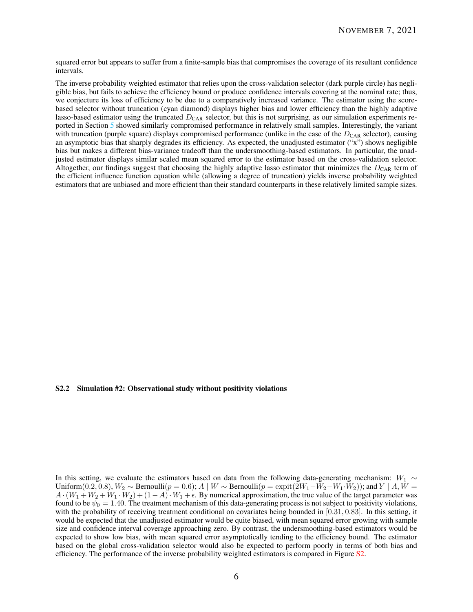squared error but appears to suffer from a finite-sample bias that compromises the coverage of its resultant confidence intervals.

The inverse probability weighted estimator that relies upon the cross-validation selector (dark purple circle) has negligible bias, but fails to achieve the efficiency bound or produce confidence intervals covering at the nominal rate; thus, we conjecture its loss of efficiency to be due to a comparatively increased variance. The estimator using the scorebased selector without truncation (cyan diamond) displays higher bias and lower efficiency than the highly adaptive lasso-based estimator using the truncated *D*<sub>CAR</sub> selector, but this is not surprising, as our simulation experiments reported in Section 5 showed similarly compromised performance in relatively small samples. Interestingly, the variant with truncation (purple square) displays compromised performance (unlike in the case of the  $D_{\text{CAR}}$  selector), causing an asymptotic bias that sharply degrades its efficiency. As expected, the unadjusted estimator ("x") shows negligible bias but makes a different bias-variance tradeoff than the undersmoothing-based estimators. In particular, the unadjusted estimator displays similar scaled mean squared error to the estimator based on the cross-validation selector. Altogether, our findings suggest that choosing the highly adaptive lasso estimator that minimizes the  $D_{\text{CAR}}$  term of the efficient influence function equation while (allowing a degree of truncation) yields inverse probability weighted estimators that are unbiased and more efficient than their standard counterparts in these relatively limited sample sizes.

## S2.2 Simulation #2: Observational study without positivity violations

In this setting, we evaluate the estimators based on data from the following data-generating mechanism: *W*<sup>1</sup> ∼ Uniform(0.2, 0.8),  $W_2 \sim$  Bernoulli( $p = 0.6$ );  $A \mid W \sim$  Bernoulli( $p = \exp(t(2W_1-W_2-W_1\cdot W_2))$ ; and  $Y \mid A, W =$  $A \cdot (W_1 + W_2 + W_1 \cdot W_2) + (1 - A) \cdot W_1 + \epsilon$ . By numerical approximation, the true value of the target parameter was found to be  $\psi_0 = 1.40$ . The treatment mechanism of this data-generating process is not subject to positivity violations, with the probability of receiving treatment conditional on covariates being bounded in [0*.*31*,* 0*.*83]. In this setting, it would be expected that the unadjusted estimator would be quite biased, with mean squared error growing with sample size and confidence interval coverage approaching zero. By contrast, the undersmoothing-based estimators would be expected to show low bias, with mean squared error asymptotically tending to the efficiency bound. The estimator based on the global cross-validation selector would also be expected to perform poorly in terms of both bias and efficiency. The performance of the inverse probability weighted estimators is compared in Figure S2.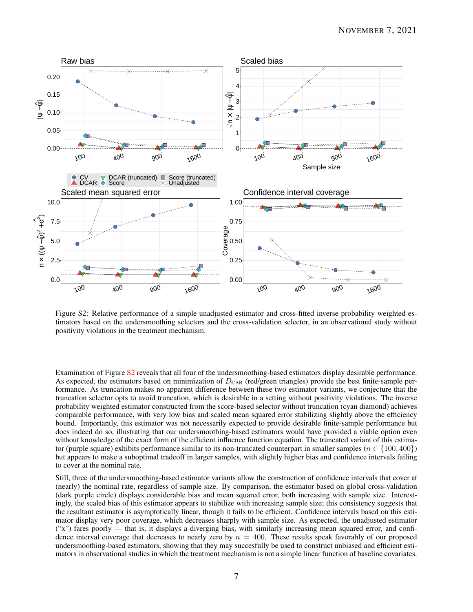

Figure S2: Relative performance of a simple unadjusted estimator and cross-fitted inverse probability weighted estimators based on the undersmoothing selectors and the cross-validation selector, in an observational study without positivity violations in the treatment mechanism.

Examination of Figure S2 reveals that all four of the undersmoothing-based estimators display desirable performance. As expected, the estimators based on minimization of  $D_{CAR}$  (red/green triangles) provide the best finite-sample performance. As truncation makes no apparent difference between these two estimator variants, we conjecture that the truncation selector opts to avoid truncation, which is desirable in a setting without positivity violations. The inverse probability weighted estimator constructed from the score-based selector without truncation (cyan diamond) achieves comparable performance, with very low bias and scaled mean squared error stabilizing slightly above the efficiency bound. Importantly, this estimator was not necessarily expected to provide desirable finite-sample performance but does indeed do so, illustrating that our undersmoothing-based estimators would have provided a viable option even without knowledge of the exact form of the efficient influence function equation. The truncated variant of this estimator (purple square) exhibits performance similar to its non-truncated counterpart in smaller samples ( $n \in \{100, 400\}$ ) but appears to make a suboptimal tradeoff in larger samples, with slightly higher bias and confidence intervals failing to cover at the nominal rate.

Still, three of the undersmoothing-based estimator variants allow the construction of confidence intervals that cover at (nearly) the nominal rate, regardless of sample size. By comparison, the estimator based on global cross-validation (dark purple circle) displays considerable bias and mean squared error, both increasing with sample size. Interestingly, the scaled bias of this estimator appears to stabilize with increasing sample size; this consistency suggests that the resultant estimator is asymptotically linear, though it fails to be efficient. Confidence intervals based on this estimator display very poor coverage, which decreases sharply with sample size. As expected, the unadjusted estimator ("x") fares poorly — that is, it displays a diverging bias, with similarly increasing mean squared error, and confidence interval coverage that decreases to nearly zero by *n* = 400. These results speak favorably of our proposed undersmoothing-based estimators, showing that they may succesfully be used to construct unbiased and efficient estimators in observational studies in which the treatment mechanism is not a simple linear function of baseline covariates.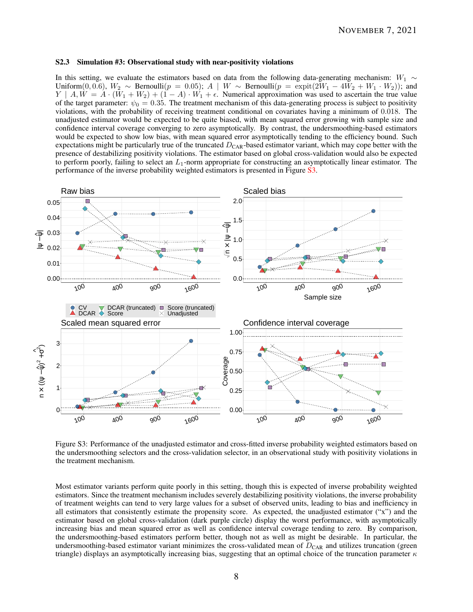## S2.3 Simulation #3: Observational study with near-positivity violations

In this setting, we evaluate the estimators based on data from the following data-generating mechanism: *W*<sup>1</sup> ∼ Uniform(0,0.6),  $W_2$  ∼ Bernoulli( $p = 0.05$ );  $A \parallel W \sim \text{Bernoulli}(p = \text{expit}(2W_1 - 4W_2 + W_1 \cdot W_2)$ ); and *Y* | *A, W* =  $A \cdot (W_1 + W_2) + (1 - A) \cdot W_1 + \epsilon$ . Numerical approximation was used to ascertain the true value of the target parameter:  $\psi_0 = 0.35$ . The treatment mechanism of this data-generating process is subject to positivity violations, with the probability of receiving treatment conditional on covariates having a minimum of 0*.*018. The unadjusted estimator would be expected to be quite biased, with mean squared error growing with sample size and confidence interval coverage converging to zero asymptotically. By contrast, the undersmoothing-based estimators would be expected to show low bias, with mean squared error asymptotically tending to the efficiency bound. Such expectations might be particularly true of the truncated *D*<sub>CAR</sub>-based estimator variant, which may cope better with the presence of destabilizing positivity violations. The estimator based on global cross-validation would also be expected to perform poorly, failing to select an *L*1-norm appropriate for constructing an asymptotically linear estimator. The performance of the inverse probability weighted estimators is presented in Figure S3.



Figure S3: Performance of the unadjusted estimator and cross-fitted inverse probability weighted estimators based on the undersmoothing selectors and the cross-validation selector, in an observational study with positivity violations in the treatment mechanism.

Most estimator variants perform quite poorly in this setting, though this is expected of inverse probability weighted estimators. Since the treatment mechanism includes severely destabilizing positivity violations, the inverse probability of treatment weights can tend to very large values for a subset of observed units, leading to bias and inefficiency in all estimators that consistently estimate the propensity score. As expected, the unadjusted estimator ("x") and the estimator based on global cross-validation (dark purple circle) display the worst performance, with asymptotically increasing bias and mean squared error as well as confidence interval coverage tending to zero. By comparison, the undersmoothing-based estimators perform better, though not as well as might be desirable. In particular, the undersmoothing-based estimator variant minimizes the cross-validated mean of  $D_{\text{CAR}}$  and utilizes truncation (green triangle) displays an asymptotically increasing bias, suggesting that an optimal choice of the truncation parameter *κ*